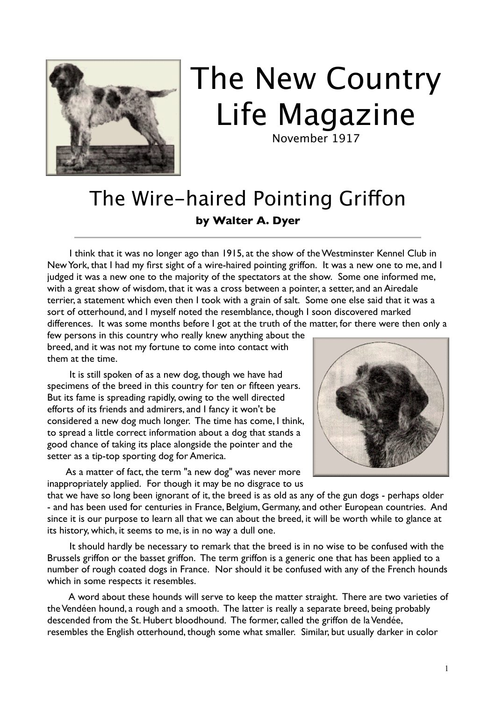

## The New Country Life Magazine

November 1917

## The Wire-haired Pointing Griffon **by Walter A. Dyer**

 I think that it was no longer ago than 1915, at the show of the Westminster Kennel Club in New York, that I had my first sight of a wire-haired pointing griffon. It was a new one to me, and I judged it was a new one to the majority of the spectators at the show. Some one informed me, with a great show of wisdom, that it was a cross between a pointer, a setter, and an Airedale terrier, a statement which even then I took with a grain of salt. Some one else said that it was a sort of otterhound, and I myself noted the resemblance, though I soon discovered marked differences. It was some months before I got at the truth of the matter, for there were then only a

few persons in this country who really knew anything about the breed, and it was not my fortune to come into contact with them at the time.

 It is still spoken of as a new dog, though we have had specimens of the breed in this country for ten or fifteen years. But its fame is spreading rapidly, owing to the well directed efforts of its friends and admirers, and I fancy it won't be considered a new dog much longer. The time has come, I think, to spread a little correct information about a dog that stands a good chance of taking its place alongside the pointer and the setter as a tip-top sporting dog for America.

 As a matter of fact, the term "a new dog" was never more inappropriately applied. For though it may be no disgrace to us



that we have so long been ignorant of it, the breed is as old as any of the gun dogs - perhaps older - and has been used for centuries in France, Belgium, Germany, and other European countries. And since it is our purpose to learn all that we can about the breed, it will be worth while to glance at its history, which, it seems to me, is in no way a dull one.

 It should hardly be necessary to remark that the breed is in no wise to be confused with the Brussels griffon or the basset griffon. The term griffon is a generic one that has been applied to a number of rough coated dogs in France. Nor should it be confused with any of the French hounds which in some respects it resembles.

 A word about these hounds will serve to keep the matter straight. There are two varieties of the Vendéen hound, a rough and a smooth. The latter is really a separate breed, being probably descended from the St. Hubert bloodhound. The former, called the griffon de la Vendée, resembles the English otterhound, though some what smaller. Similar, but usually darker in color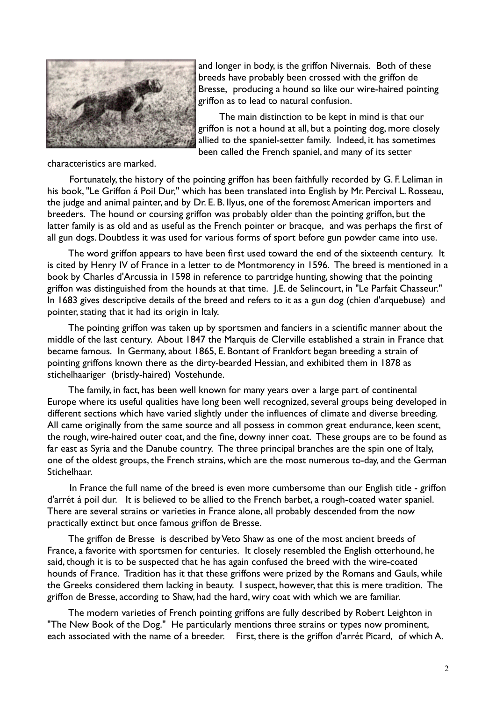

and longer in body, is the griffon Nivernais. Both of these breeds have probably been crossed with the griffon de Bresse, producing a hound so like our wire-haired pointing griffon as to lead to natural confusion.

 The main distinction to be kept in mind is that our griffon is not a hound at all, but a pointing dog, more closely allied to the spaniel-setter family. Indeed, it has sometimes been called the French spaniel, and many of its setter

characteristics are marked.

 Fortunately, the history of the pointing griffon has been faithfully recorded by G. F. Leliman in his book, "Le Griffon á Poil Dur," which has been translated into English by Mr. Percival L. Rosseau, the judge and animal painter, and by Dr. E. B. Ilyus, one of the foremost American importers and breeders. The hound or coursing griffon was probably older than the pointing griffon, but the latter family is as old and as useful as the French pointer or bracque, and was perhaps the first of all gun dogs. Doubtless it was used for various forms of sport before gun powder came into use.

 The word griffon appears to have been first used toward the end of the sixteenth century. It is cited by Henry IV of France in a letter to de Montmorency in 1596. The breed is mentioned in a book by Charles d'Arcussia in 1598 in reference to partridge hunting, showing that the pointing griffon was distinguished from the hounds at that time. I.E. de Selincourt, in "Le Parfait Chasseur." In 1683 gives descriptive details of the breed and refers to it as a gun dog (chien d'arquebuse) and pointer, stating that it had its origin in Italy.

 The pointing griffon was taken up by sportsmen and fanciers in a scientific manner about the middle of the last century. About 1847 the Marquis de Clerville established a strain in France that became famous. In Germany, about 1865, E. Bontant of Frankfort began breeding a strain of pointing griffons known there as the dirty-bearded Hessian, and exhibited them in 1878 as stichelhaariger (bristly-haired) Vostehunde.

 The family, in fact, has been well known for many years over a large part of continental Europe where its useful qualities have long been well recognized, several groups being developed in different sections which have varied slightly under the influences of climate and diverse breeding. All came originally from the same source and all possess in common great endurance, keen scent, the rough, wire-haired outer coat, and the fine, downy inner coat. These groups are to be found as far east as Syria and the Danube country. The three principal branches are the spin one of Italy, one of the oldest groups, the French strains, which are the most numerous to-day, and the German Stichelhaar.

 In France the full name of the breed is even more cumbersome than our English title - griffon d'arrét á poil dur. It is believed to be allied to the French barbet, a rough-coated water spaniel. There are several strains or varieties in France alone, all probably descended from the now practically extinct but once famous griffon de Bresse.

 The griffon de Bresse is described by Veto Shaw as one of the most ancient breeds of France, a favorite with sportsmen for centuries. It closely resembled the English otterhound, he said, though it is to be suspected that he has again confused the breed with the wire-coated hounds of France. Tradition has it that these griffons were prized by the Romans and Gauls, while the Greeks considered them lacking in beauty. I suspect, however, that this is mere tradition. The griffon de Bresse, according to Shaw, had the hard, wiry coat with which we are familiar.

 The modern varieties of French pointing griffons are fully described by Robert Leighton in "The New Book of the Dog." He particularly mentions three strains or types now prominent, each associated with the name of a breeder. First, there is the griffon d'arrét Picard, of which A.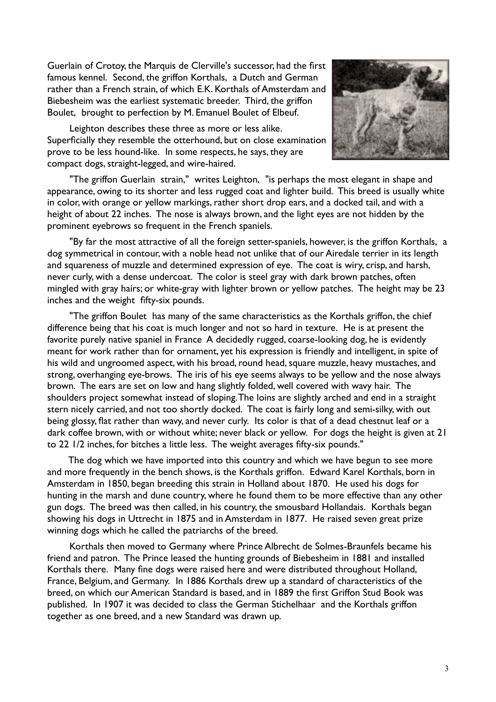Guerlain of Crotoy, the Marquis de Clerville's successor, had the first famous kennel. Second, the griffon Korthals, a Dutch and German rather than a French strain, of which E.K. Korthals of Amsterdam and Biebesheim was the earliest systematic breeder. Third, the griffon Boulet, brought to perfection by M. Emanuel Boulet of Elbeuf.

 Leighton describes these three as more or less alike. Superficially they resemble the otterhound, but on close examination prove to be less hound-like. In some respects, he says, they are compact dogs, straight-legged, and wire-haired.



 "The griffon Guerlain strain," writes Leighton, "is perhaps the most elegant in shape and appearance, owing to its shorter and less rugged coat and lighter build. This breed is usually white in color, with orange or yellow markings, rather short drop ears, and a docked tail, and with a height of about 22 inches. The nose is always brown, and the light eyes are not hidden by the prominent eyebrows so frequent in the French spaniels.

 "By far the most attractive of all the foreign setter-spaniels, however, is the griffon Korthals, a dog symmetrical in contour, with a noble head not unlike that of our Airedale terrier in its length and squareness of muzzle and determined expression of eye. The coat is wiry, crisp, and harsh, never curly, with a dense undercoat. The color is steel gray with dark brown patches, often mingled with gray hairs; or white-gray with lighter brown or yellow patches. The height may be 23 inches and the weight fifty-six pounds.

 "The griffon Boulet has many of the same characteristics as the Korthals griffon, the chief difference being that his coat is much longer and not so hard in texture. He is at present the favorite purely native spaniel in France A decidedly rugged, coarse-looking dog, he is evidently meant for work rather than for ornament, yet his expression is friendly and intelligent, in spite of his wild and ungroomed aspect, with his broad, round head, square muzzle, heavy mustaches, and strong, overhanging eye-brows. The iris of his eye seems always to be yellow and the nose always brown. The ears are set on low and hang slightly folded, well covered with wavy hair. The shoulders project somewhat instead of sloping. The loins are slightly arched and end in a straight stern nicely carried, and not too shortly docked. The coat is fairly long and semi-silky, with out being glossy, flat rather than wavy, and never curly. Its color is that of a dead chestnut leaf or a dark coffee brown, with or without white; never black or yellow. For dogs the height is given at 21 to 22 1/2 inches, for bitches a little less. The weight averages fifty-six pounds."

 The dog which we have imported into this country and which we have begun to see more and more frequently in the bench shows, is the Korthals griffon. Edward Karel Korthals, born in Amsterdam in 1850, began breeding this strain in Holland about 1870. He used his dogs for hunting in the marsh and dune country, where he found them to be more effective than any other gun dogs. The breed was then called, in his country, the smousbard Hollandais. Korthals began showing his dogs in Uttrecht in 1875 and in Amsterdam in 1877. He raised seven great prize winning dogs which he called the patriarchs of the breed.

 Korthals then moved to Germany where Prince Albrecht de Solmes-Braunfels became his friend and patron. The Prince leased the hunting grounds of Biebesheim in 1881 and installed Korthals there. Many fine dogs were raised here and were distributed throughout Holland, France, Belgium, and Germany. In 1886 Korthals drew up a standard of characteristics of the breed, on which our American Standard is based, and in 1889 the first Griffon Stud Book was published. In 1907 it was decided to class the German Stichelhaar and the Korthals griffon together as one breed, and a new Standard was drawn up.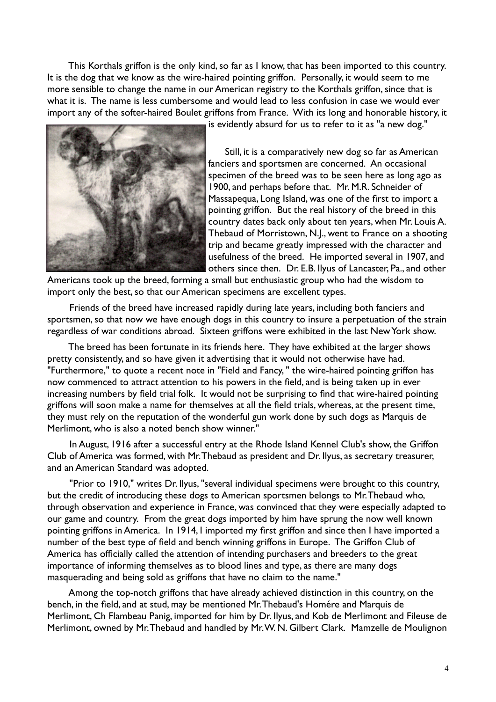This Korthals griffon is the only kind, so far as I know, that has been imported to this country. It is the dog that we know as the wire-haired pointing griffon. Personally, it would seem to me more sensible to change the name in our American registry to the Korthals griffon, since that is what it is. The name is less cumbersome and would lead to less confusion in case we would ever import any of the softer-haired Boulet griffons from France. With its long and honorable history, it



is evidently absurd for us to refer to it as "a new dog."

 Still, it is a comparatively new dog so far as American fanciers and sportsmen are concerned. An occasional specimen of the breed was to be seen here as long ago as 1900, and perhaps before that. Mr. M.R. Schneider of Massapequa, Long Island, was one of the first to import a pointing griffon. But the real history of the breed in this country dates back only about ten years, when Mr. Louis A. Thebaud of Morristown, N.J., went to France on a shooting trip and became greatly impressed with the character and usefulness of the breed. He imported several in 1907, and others since then. Dr. E.B. Ilyus of Lancaster, Pa., and other

Americans took up the breed, forming a small but enthusiastic group who had the wisdom to import only the best, so that our American specimens are excellent types.

 Friends of the breed have increased rapidly during late years, including both fanciers and sportsmen, so that now we have enough dogs in this country to insure a perpetuation of the strain regardless of war conditions abroad. Sixteen griffons were exhibited in the last New York show.

 The breed has been fortunate in its friends here. They have exhibited at the larger shows pretty consistently, and so have given it advertising that it would not otherwise have had. "Furthermore," to quote a recent note in "Field and Fancy, " the wire-haired pointing griffon has now commenced to attract attention to his powers in the field, and is being taken up in ever increasing numbers by field trial folk. It would not be surprising to find that wire-haired pointing griffons will soon make a name for themselves at all the field trials, whereas, at the present time, they must rely on the reputation of the wonderful gun work done by such dogs as Marquis de Merlimont, who is also a noted bench show winner."

 In August, 1916 after a successful entry at the Rhode Island Kennel Club's show, the Griffon Club of America was formed, with Mr. Thebaud as president and Dr. Ilyus, as secretary treasurer, and an American Standard was adopted.

 "Prior to 1910," writes Dr. Ilyus, "several individual specimens were brought to this country, but the credit of introducing these dogs to American sportsmen belongs to Mr. Thebaud who, through observation and experience in France, was convinced that they were especially adapted to our game and country. From the great dogs imported by him have sprung the now well known pointing griffons in America. In 1914, I imported my first griffon and since then I have imported a number of the best type of field and bench winning griffons in Europe. The Griffon Club of America has officially called the attention of intending purchasers and breeders to the great importance of informing themselves as to blood lines and type, as there are many dogs masquerading and being sold as griffons that have no claim to the name."

 Among the top-notch griffons that have already achieved distinction in this country, on the bench, in the field, and at stud, may be mentioned Mr. Thebaud's Homére and Marquis de Merlimont, Ch Flambeau Panig, imported for him by Dr. Ilyus, and Kob de Merlimont and Fileuse de Merlimont, owned by Mr. Thebaud and handled by Mr. W. N. Gilbert Clark. Mamzelle de Moulignon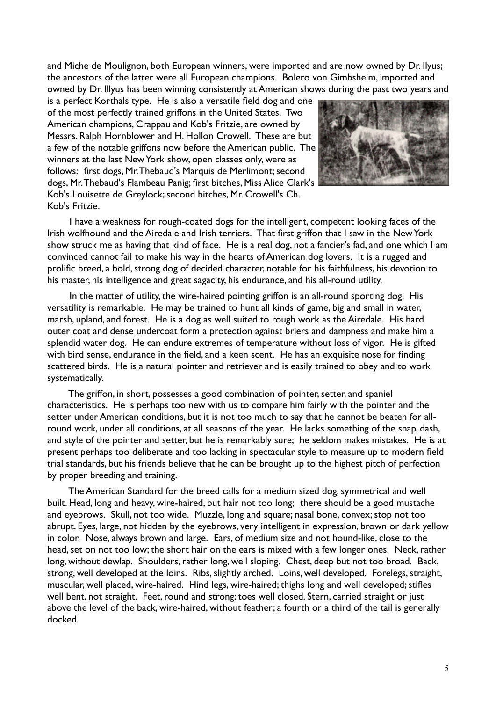and Miche de Moulignon, both European winners, were imported and are now owned by Dr. Ilyus; the ancestors of the latter were all European champions. Bolero von Gimbsheim, imported and owned by Dr. Illyus has been winning consistently at American shows during the past two years and

is a perfect Korthals type. He is also a versatile field dog and one of the most perfectly trained griffons in the United States. Two American champions, Crappau and Kob's Fritzie, are owned by Messrs. Ralph Hornblower and H. Hollon Crowell. These are but a few of the notable griffons now before the American public. The winners at the last New York show, open classes only, were as follows: first dogs, Mr. Thebaud's Marquis de Merlimont; second dogs, Mr. Thebaud's Flambeau Panig; first bitches, Miss Alice Clark's Kob's Louisette de Greylock; second bitches, Mr. Crowell's Ch. Kob's Fritzie.



 I have a weakness for rough-coated dogs for the intelligent, competent looking faces of the Irish wolfhound and the Airedale and Irish terriers. That first griffon that I saw in the New York show struck me as having that kind of face. He is a real dog, not a fancier's fad, and one which I am convinced cannot fail to make his way in the hearts of American dog lovers. It is a rugged and prolific breed, a bold, strong dog of decided character, notable for his faithfulness, his devotion to his master, his intelligence and great sagacity, his endurance, and his all-round utility.

 In the matter of utility, the wire-haired pointing griffon is an all-round sporting dog. His versatility is remarkable. He may be trained to hunt all kinds of game, big and small in water, marsh, upland, and forest. He is a dog as well suited to rough work as the Airedale. His hard outer coat and dense undercoat form a protection against briers and dampness and make him a splendid water dog. He can endure extremes of temperature without loss of vigor. He is gifted with bird sense, endurance in the field, and a keen scent. He has an exquisite nose for finding scattered birds. He is a natural pointer and retriever and is easily trained to obey and to work systematically.

 The griffon, in short, possesses a good combination of pointer, setter, and spaniel characteristics. He is perhaps too new with us to compare him fairly with the pointer and the setter under American conditions, but it is not too much to say that he cannot be beaten for allround work, under all conditions, at all seasons of the year. He lacks something of the snap, dash, and style of the pointer and setter, but he is remarkably sure; he seldom makes mistakes. He is at present perhaps too deliberate and too lacking in spectacular style to measure up to modern field trial standards, but his friends believe that he can be brought up to the highest pitch of perfection by proper breeding and training.

 The American Standard for the breed calls for a medium sized dog, symmetrical and well built. Head, long and heavy, wire-haired, but hair not too long; there should be a good mustache and eyebrows. Skull, not too wide. Muzzle, long and square; nasal bone, convex; stop not too abrupt. Eyes, large, not hidden by the eyebrows, very intelligent in expression, brown or dark yellow in color. Nose, always brown and large. Ears, of medium size and not hound-like, close to the head, set on not too low; the short hair on the ears is mixed with a few longer ones. Neck, rather long, without dewlap. Shoulders, rather long, well sloping. Chest, deep but not too broad. Back, strong, well developed at the loins. Ribs, slightly arched. Loins, well developed. Forelegs, straight, muscular, well placed, wire-haired. Hind legs, wire-haired; thighs long and well developed; stifles well bent, not straight. Feet, round and strong; toes well closed. Stern, carried straight or just above the level of the back, wire-haired, without feather; a fourth or a third of the tail is generally docked.